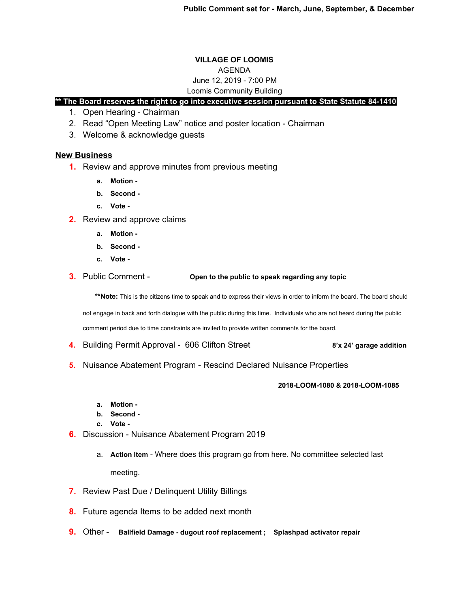# **VILLAGE OF LOOMIS** AGENDA June 12, 2019 - 7:00 PM

## Loomis Community Building

# **\*\* The Board reserves the right to go into executive session pursuant to State Statute 84-1410**

- 1. Open Hearing Chairman
- 2. Read "Open Meeting Law" notice and poster location Chairman
- 3. Welcome & acknowledge guests

## **New Business**

- **1.** Review and approve minutes from previous meeting
	- **a. Motion -**
	- **b. Second -**
	- **c. Vote -**
- **2.** Review and approve claims
	- **a. Motion -**
	- **b. Second -**
	- **c. Vote -**
- **3.** Public Comment **Open to the public to speak regarding any topic**

\*\*Note: This is the citizens time to speak and to express their views in order to inform the board. The board should

not engage in back and forth dialogue with the public during this time. Individuals who are not heard during the public

comment period due to time constraints are invited to provide written comments for the board.

- **4.** Building Permit Approval 606 Clifton Street **8'x 24' garage addition**
- **5.** Nuisance Abatement Program Rescind Declared Nuisance Properties

#### **2018-LOOM-1080 & 2018-LOOM-1085**

- **a. Motion -**
- **b. Second -**
- **c. Vote -**
- **6.** Discussion Nuisance Abatement Program 2019
	- a. **Action Item** Where does this program go from here. No committee selected last meeting.
- **7.** Review Past Due / Delinquent Utility Billings
- **8.** Future agenda Items to be added next month
- **9.** Other **Ballfield Damage dugout roof replacement ; Splashpad activator repair**